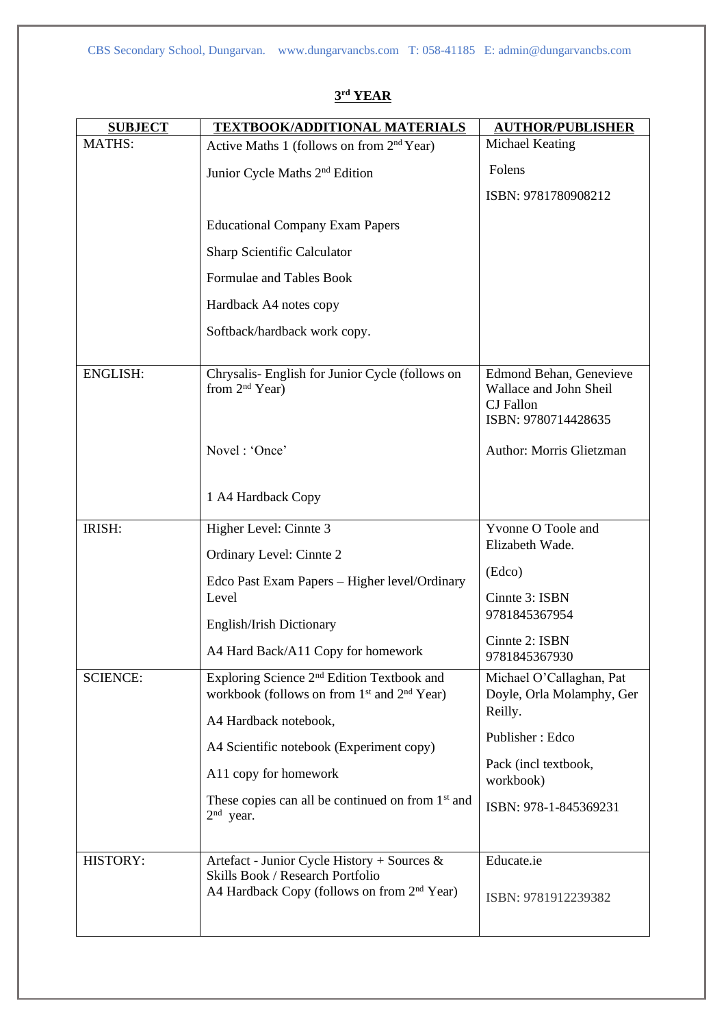| <b>SUBJECT</b>  | <b>TEXTBOOK/ADDITIONAL MATERIALS</b>                                                                                          | <b>AUTHOR/PUBLISHER</b>                                                                      |
|-----------------|-------------------------------------------------------------------------------------------------------------------------------|----------------------------------------------------------------------------------------------|
| <b>MATHS:</b>   | Active Maths 1 (follows on from 2 <sup>nd</sup> Year)                                                                         | Michael Keating                                                                              |
|                 | Junior Cycle Maths 2 <sup>nd</sup> Edition                                                                                    | Folens                                                                                       |
|                 |                                                                                                                               | ISBN: 9781780908212                                                                          |
|                 | <b>Educational Company Exam Papers</b>                                                                                        |                                                                                              |
|                 | <b>Sharp Scientific Calculator</b>                                                                                            |                                                                                              |
|                 | Formulae and Tables Book                                                                                                      |                                                                                              |
|                 | Hardback A4 notes copy                                                                                                        |                                                                                              |
|                 | Softback/hardback work copy.                                                                                                  |                                                                                              |
| <b>ENGLISH:</b> | Chrysalis- English for Junior Cycle (follows on<br>from $2nd$ Year)                                                           | Edmond Behan, Genevieve<br>Wallace and John Sheil<br><b>CJ</b> Fallon<br>ISBN: 9780714428635 |
|                 | Novel: 'Once'                                                                                                                 | Author: Morris Glietzman                                                                     |
|                 | 1 A4 Hardback Copy                                                                                                            |                                                                                              |
| IRISH:          | Higher Level: Cinnte 3                                                                                                        | Yvonne O Toole and                                                                           |
|                 | Ordinary Level: Cinnte 2                                                                                                      | Elizabeth Wade.                                                                              |
|                 | Edco Past Exam Papers - Higher level/Ordinary                                                                                 | (Edco)                                                                                       |
|                 | Level                                                                                                                         | Cinnte 3: ISBN<br>9781845367954                                                              |
|                 | English/Irish Dictionary                                                                                                      | Cinnte 2: ISBN                                                                               |
|                 | A4 Hard Back/A11 Copy for homework                                                                                            | 9781845367930                                                                                |
| <b>SCIENCE:</b> | Exploring Science 2 <sup>nd</sup> Edition Textbook and<br>workbook (follows on from 1 <sup>st</sup> and 2 <sup>nd</sup> Year) | Michael O'Callaghan, Pat<br>Doyle, Orla Molamphy, Ger                                        |
|                 | A4 Hardback notebook,                                                                                                         | Reilly.                                                                                      |
|                 | A4 Scientific notebook (Experiment copy)                                                                                      | Publisher: Edco                                                                              |
|                 | A11 copy for homework                                                                                                         | Pack (incl textbook,<br>workbook)                                                            |
|                 | These copies can all be continued on from 1 <sup>st</sup> and<br>$2nd$ year.                                                  | ISBN: 978-1-845369231                                                                        |
| HISTORY:        | Artefact - Junior Cycle History + Sources &                                                                                   | Educate.ie                                                                                   |
|                 | Skills Book / Research Portfolio<br>A4 Hardback Copy (follows on from 2 <sup>nd</sup> Year)                                   | ISBN: 9781912239382                                                                          |
|                 |                                                                                                                               |                                                                                              |

## **3 rd YEAR**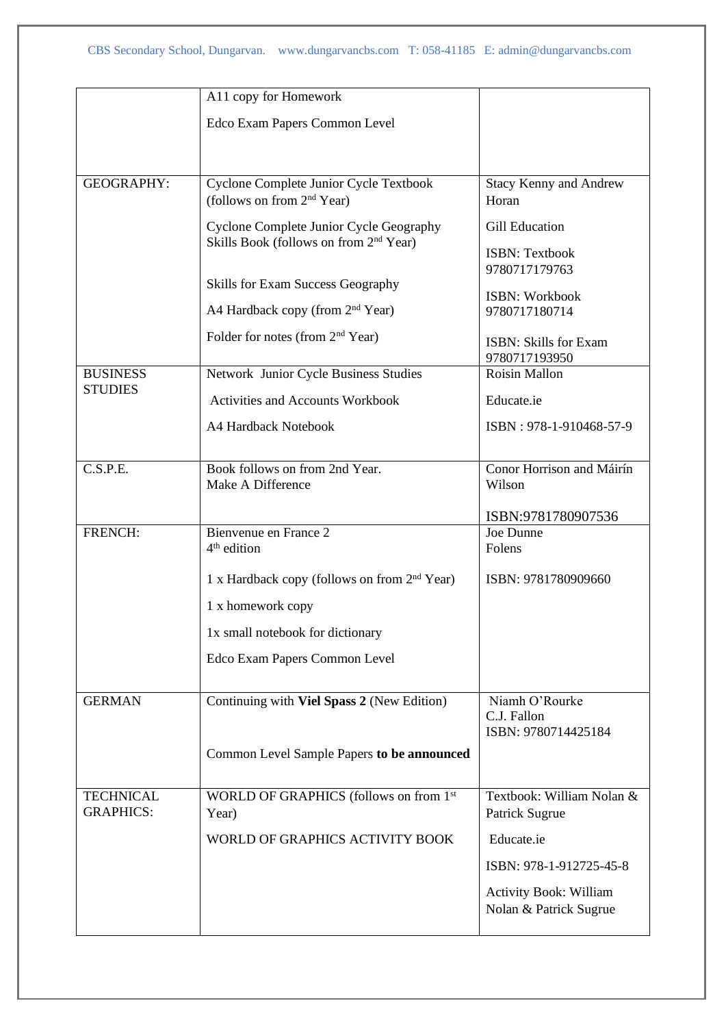|                                      | A11 copy for Homework                                                                         |                                     |
|--------------------------------------|-----------------------------------------------------------------------------------------------|-------------------------------------|
|                                      | Edco Exam Papers Common Level                                                                 |                                     |
|                                      |                                                                                               |                                     |
|                                      |                                                                                               |                                     |
| <b>GEOGRAPHY:</b>                    | Cyclone Complete Junior Cycle Textbook                                                        | <b>Stacy Kenny and Andrew</b>       |
|                                      | (follows on from 2 <sup>nd</sup> Year)                                                        | Horan                               |
|                                      | Cyclone Complete Junior Cycle Geography<br>Skills Book (follows on from 2 <sup>nd</sup> Year) | <b>Gill Education</b>               |
|                                      |                                                                                               | <b>ISBN: Textbook</b>               |
|                                      |                                                                                               | 9780717179763                       |
|                                      | Skills for Exam Success Geography                                                             | <b>ISBN: Workbook</b>               |
|                                      | A4 Hardback copy (from 2 <sup>nd</sup> Year)                                                  | 9780717180714                       |
|                                      | Folder for notes (from 2 <sup>nd</sup> Year)                                                  | <b>ISBN: Skills for Exam</b>        |
| <b>BUSINESS</b>                      | Network Junior Cycle Business Studies                                                         | 9780717193950<br>Roisin Mallon      |
| <b>STUDIES</b>                       | <b>Activities and Accounts Workbook</b>                                                       |                                     |
|                                      |                                                                                               | Educate.ie                          |
|                                      | A4 Hardback Notebook                                                                          | ISBN: 978-1-910468-57-9             |
|                                      |                                                                                               |                                     |
| C.S.P.E.                             | Book follows on from 2nd Year.<br>Make A Difference                                           | Conor Horrison and Máirín<br>Wilson |
|                                      |                                                                                               |                                     |
|                                      |                                                                                               | ISBN:9781780907536                  |
| FRENCH:                              | Bienvenue en France 2<br>$4th$ edition                                                        | Joe Dunne<br>Folens                 |
|                                      |                                                                                               |                                     |
|                                      | 1 x Hardback copy (follows on from 2 <sup>nd</sup> Year)                                      | ISBN: 9781780909660                 |
|                                      | 1 x homework copy                                                                             |                                     |
|                                      | 1x small notebook for dictionary                                                              |                                     |
|                                      | Edco Exam Papers Common Level                                                                 |                                     |
|                                      |                                                                                               |                                     |
| <b>GERMAN</b>                        | Continuing with Viel Spass 2 (New Edition)                                                    | Niamh O'Rourke                      |
|                                      |                                                                                               | C.J. Fallon<br>ISBN: 9780714425184  |
|                                      | Common Level Sample Papers to be announced                                                    |                                     |
|                                      |                                                                                               |                                     |
| <b>TECHNICAL</b><br><b>GRAPHICS:</b> | WORLD OF GRAPHICS (follows on from 1st                                                        | Textbook: William Nolan &           |
|                                      | Year)                                                                                         | Patrick Sugrue                      |
|                                      | WORLD OF GRAPHICS ACTIVITY BOOK                                                               | Educate.ie                          |
|                                      |                                                                                               | ISBN: 978-1-912725-45-8             |
|                                      |                                                                                               | <b>Activity Book: William</b>       |
|                                      |                                                                                               | Nolan & Patrick Sugrue              |
|                                      |                                                                                               |                                     |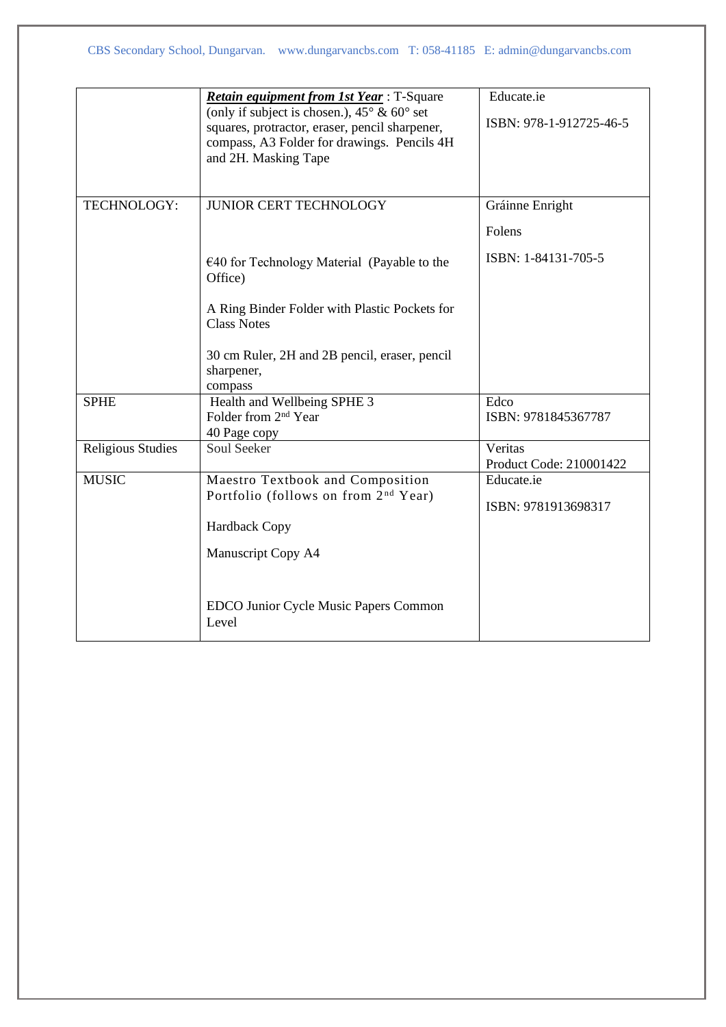|                          | <b>Retain equipment from 1st Year:</b> T-Square<br>(only if subject is chosen.), $45^{\circ}$ & $60^{\circ}$ set<br>squares, protractor, eraser, pencil sharpener,<br>compass, A3 Folder for drawings. Pencils 4H<br>and 2H. Masking Tape | Educate.ie<br>ISBN: 978-1-912725-46-5 |
|--------------------------|-------------------------------------------------------------------------------------------------------------------------------------------------------------------------------------------------------------------------------------------|---------------------------------------|
| TECHNOLOGY:              | <b>JUNIOR CERT TECHNOLOGY</b>                                                                                                                                                                                                             | Gráinne Enright<br>Folens             |
|                          | $\epsilon$ 40 for Technology Material (Payable to the<br>Office)                                                                                                                                                                          | ISBN: 1-84131-705-5                   |
|                          | A Ring Binder Folder with Plastic Pockets for<br><b>Class Notes</b>                                                                                                                                                                       |                                       |
|                          | 30 cm Ruler, 2H and 2B pencil, eraser, pencil<br>sharpener,<br>compass                                                                                                                                                                    |                                       |
| <b>SPHE</b>              | Health and Wellbeing SPHE 3<br>Folder from 2 <sup>nd</sup> Year<br>40 Page copy                                                                                                                                                           | Edco<br>ISBN: 9781845367787           |
| <b>Religious Studies</b> | <b>Soul Seeker</b>                                                                                                                                                                                                                        | Veritas<br>Product Code: 210001422    |
| <b>MUSIC</b>             | Maestro Textbook and Composition<br>Portfolio (follows on from 2 <sup>nd</sup> Year)<br><b>Hardback Copy</b>                                                                                                                              | Educate.ie<br>ISBN: 9781913698317     |
|                          | Manuscript Copy A4                                                                                                                                                                                                                        |                                       |
|                          | EDCO Junior Cycle Music Papers Common<br>Level                                                                                                                                                                                            |                                       |